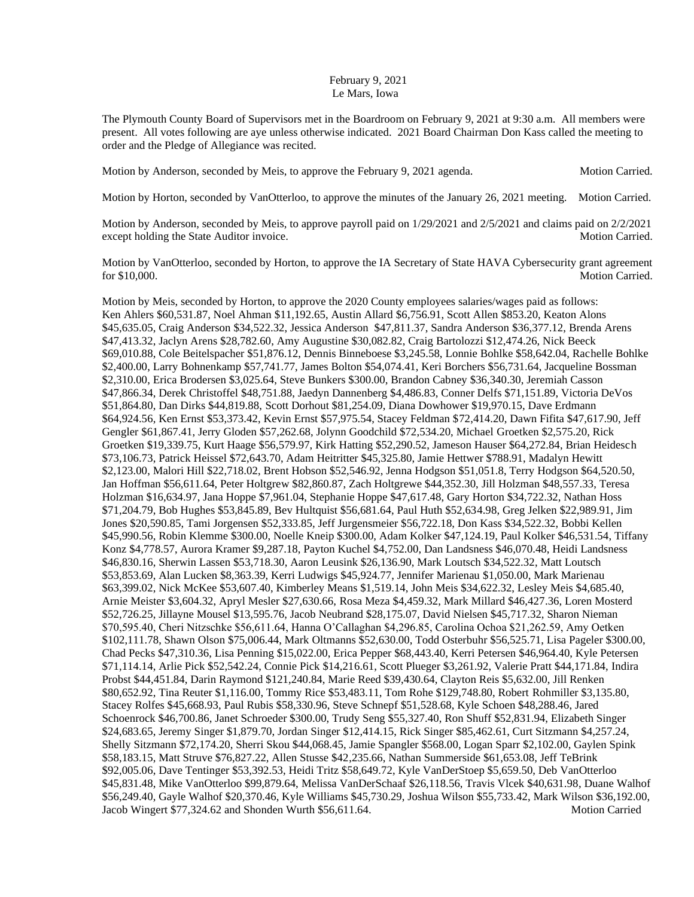## February 9, 2021 Le Mars, Iowa

The Plymouth County Board of Supervisors met in the Boardroom on February 9, 2021 at 9:30 a.m. All members were present. All votes following are aye unless otherwise indicated. 2021 Board Chairman Don Kass called the meeting to order and the Pledge of Allegiance was recited.

Motion by Anderson, seconded by Meis, to approve the February 9, 2021 agenda. Motion Carried.

Motion by Horton, seconded by VanOtterloo, to approve the minutes of the January 26, 2021 meeting. Motion Carried.

Motion by Anderson, seconded by Meis, to approve payroll paid on  $1/29/2021$  and  $2/5/2021$  and claims paid on  $2/2/2021$ except holding the State Auditor invoice. The State Auditor invoice. Motion Carried.

Motion by VanOtterloo, seconded by Horton, to approve the IA Secretary of State HAVA Cybersecurity grant agreement for \$10,000. Motion Carried.

Motion by Meis, seconded by Horton, to approve the 2020 County employees salaries/wages paid as follows: Ken Ahlers \$60,531.87, Noel Ahman \$11,192.65, Austin Allard \$6,756.91, Scott Allen \$853.20, Keaton Alons \$45,635.05, Craig Anderson \$34,522.32, Jessica Anderson \$47,811.37, Sandra Anderson \$36,377.12, Brenda Arens \$47,413.32, Jaclyn Arens \$28,782.60, Amy Augustine \$30,082.82, Craig Bartolozzi \$12,474.26, Nick Beeck \$69,010.88, Cole Beitelspacher \$51,876.12, Dennis Binneboese \$3,245.58, Lonnie Bohlke \$58,642.04, Rachelle Bohlke \$2,400.00, Larry Bohnenkamp \$57,741.77, James Bolton \$54,074.41, Keri Borchers \$56,731.64, Jacqueline Bossman \$2,310.00, Erica Brodersen \$3,025.64, Steve Bunkers \$300.00, Brandon Cabney \$36,340.30, Jeremiah Casson \$47,866.34, Derek Christoffel \$48,751.88, Jaedyn Dannenberg \$4,486.83, Conner Delfs \$71,151.89, Victoria DeVos \$51,864.80, Dan Dirks \$44,819.88, Scott Dorhout \$81,254.09, Diana Dowhower \$19,970.15, Dave Erdmann \$64,924.56, Ken Ernst \$53,373.42, Kevin Ernst \$57,975.54, Stacey Feldman \$72,414.20, Dawn Fifita \$47,617.90, Jeff Gengler \$61,867.41, Jerry Gloden \$57,262.68, Jolynn Goodchild \$72,534.20, Michael Groetken \$2,575.20, Rick Groetken \$19,339.75, Kurt Haage \$56,579.97, Kirk Hatting \$52,290.52, Jameson Hauser \$64,272.84, Brian Heidesch \$73,106.73, Patrick Heissel \$72,643.70, Adam Heitritter \$45,325.80, Jamie Hettwer \$788.91, Madalyn Hewitt \$2,123.00, Malori Hill \$22,718.02, Brent Hobson \$52,546.92, Jenna Hodgson \$51,051.8, Terry Hodgson \$64,520.50, Jan Hoffman \$56,611.64, Peter Holtgrew \$82,860.87, Zach Holtgrewe \$44,352.30, Jill Holzman \$48,557.33, Teresa Holzman \$16,634.97, Jana Hoppe \$7,961.04, Stephanie Hoppe \$47,617.48, Gary Horton \$34,722.32, Nathan Hoss \$71,204.79, Bob Hughes \$53,845.89, Bev Hultquist \$56,681.64, Paul Huth \$52,634.98, Greg Jelken \$22,989.91, Jim Jones \$20,590.85, Tami Jorgensen \$52,333.85, Jeff Jurgensmeier \$56,722.18, Don Kass \$34,522.32, Bobbi Kellen \$45,990.56, Robin Klemme \$300.00, Noelle Kneip \$300.00, Adam Kolker \$47,124.19, Paul Kolker \$46,531.54, Tiffany Konz \$4,778.57, Aurora Kramer \$9,287.18, Payton Kuchel \$4,752.00, Dan Landsness \$46,070.48, Heidi Landsness \$46,830.16, Sherwin Lassen \$53,718.30, Aaron Leusink \$26,136.90, Mark Loutsch \$34,522.32, Matt Loutsch \$53,853.69, Alan Lucken \$8,363.39, Kerri Ludwigs \$45,924.77, Jennifer Marienau \$1,050.00, Mark Marienau \$63,399.02, Nick McKee \$53,607.40, Kimberley Means \$1,519.14, John Meis \$34,622.32, Lesley Meis \$4,685.40, Arnie Meister \$3,604.32, Apryl Mesler \$27,630.66, Rosa Meza \$4,459.32, Mark Millard \$46,427.36, Loren Mosterd \$52,726.25, Jillayne Mousel \$13,595.76, Jacob Neubrand \$28,175.07, David Nielsen \$45,717.32, Sharon Nieman \$70,595.40, Cheri Nitzschke \$56,611.64, Hanna O'Callaghan \$4,296.85, Carolina Ochoa \$21,262.59, Amy Oetken \$102,111.78, Shawn Olson \$75,006.44, Mark Oltmanns \$52,630.00, Todd Osterbuhr \$56,525.71, Lisa Pageler \$300.00, Chad Pecks \$47,310.36, Lisa Penning \$15,022.00, Erica Pepper \$68,443.40, Kerri Petersen \$46,964.40, Kyle Petersen \$71,114.14, Arlie Pick \$52,542.24, Connie Pick \$14,216.61, Scott Plueger \$3,261.92, Valerie Pratt \$44,171.84, Indira Probst \$44,451.84, Darin Raymond \$121,240.84, Marie Reed \$39,430.64, Clayton Reis \$5,632.00, Jill Renken \$80,652.92, Tina Reuter \$1,116.00, Tommy Rice \$53,483.11, Tom Rohe \$129,748.80, Robert Rohmiller \$3,135.80, Stacey Rolfes \$45,668.93, Paul Rubis \$58,330.96, Steve Schnepf \$51,528.68, Kyle Schoen \$48,288.46, Jared Schoenrock \$46,700.86, Janet Schroeder \$300.00, Trudy Seng \$55,327.40, Ron Shuff \$52,831.94, Elizabeth Singer \$24,683.65, Jeremy Singer \$1,879.70, Jordan Singer \$12,414.15, Rick Singer \$85,462.61, Curt Sitzmann \$4,257.24, Shelly Sitzmann \$72,174.20, Sherri Skou \$44,068.45, Jamie Spangler \$568.00, Logan Sparr \$2,102.00, Gaylen Spink \$58,183.15, Matt Struve \$76,827.22, Allen Stusse \$42,235.66, Nathan Summerside \$61,653.08, Jeff TeBrink \$92,005.06, Dave Tentinger \$53,392.53, Heidi Tritz \$58,649.72, Kyle VanDerStoep \$5,659.50, Deb VanOtterloo \$45,831.48, Mike VanOtterloo \$99,879.64, Melissa VanDerSchaaf \$26,118.56, Travis Vlcek \$40,631.98, Duane Walhof \$56,249.40, Gayle Walhof \$20,370.46, Kyle Williams \$45,730.29, Joshua Wilson \$55,733.42, Mark Wilson \$36,192.00, Jacob Wingert \$77,324.62 and Shonden Wurth \$56,611.64. Motion Carried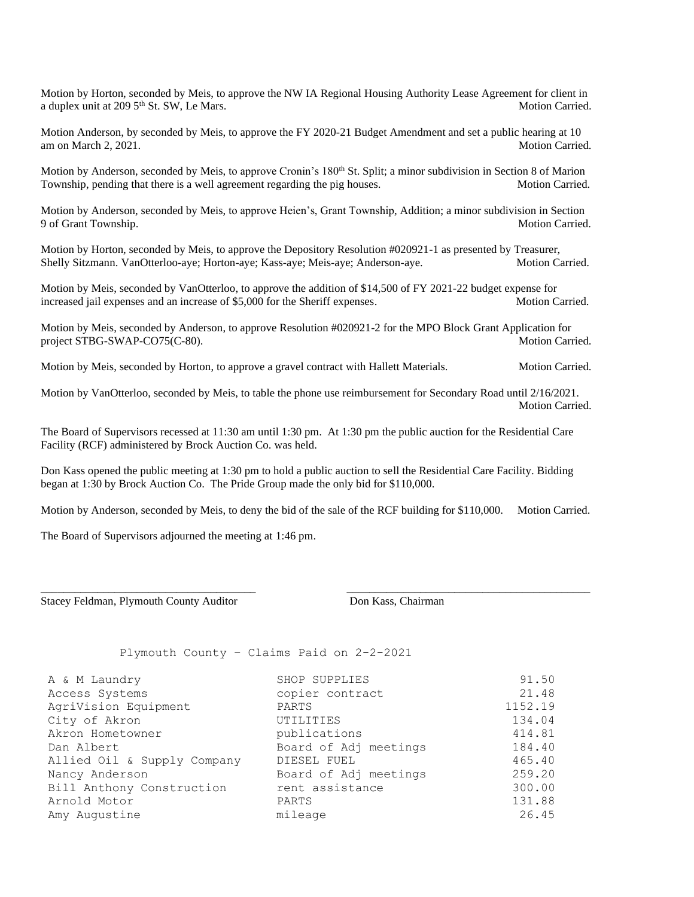Motion by Horton, seconded by Meis, to approve the NW IA Regional Housing Authority Lease Agreement for client in a duplex unit at 209 5<sup>th</sup> St. SW, Le Mars. Motion Carried.

Motion Anderson, by seconded by Meis, to approve the FY 2020-21 Budget Amendment and set a public hearing at 10 am on March 2, 2021. Motion Carried.

Motion by Anderson, seconded by Meis, to approve Cronin's 180<sup>th</sup> St. Split; a minor subdivision in Section 8 of Marion Township, pending that there is a well agreement regarding the pig houses. Motion Carried.

Motion by Anderson, seconded by Meis, to approve Heien's, Grant Township, Addition; a minor subdivision in Section 9 of Grant Township. Motion Carried.

Motion by Horton, seconded by Meis, to approve the Depository Resolution #020921-1 as presented by Treasurer, Shelly Sitzmann. VanOtterloo-aye; Horton-aye; Kass-aye; Meis-aye; Anderson-aye. Motion Carried.

Motion by Meis, seconded by VanOtterloo, to approve the addition of \$14,500 of FY 2021-22 budget expense for increased jail expenses and an increase of \$5,000 for the Sheriff expenses. Motion Carried.

Motion by Meis, seconded by Anderson, to approve Resolution #020921-2 for the MPO Block Grant Application for project STBG-SWAP-CO75(C-80). Motion Carried.

Motion by Meis, seconded by Horton, to approve a gravel contract with Hallett Materials. Motion Carried.

Motion by VanOtterloo, seconded by Meis, to table the phone use reimbursement for Secondary Road until 2/16/2021. Motion Carried.

The Board of Supervisors recessed at 11:30 am until 1:30 pm. At 1:30 pm the public auction for the Residential Care Facility (RCF) administered by Brock Auction Co. was held.

Don Kass opened the public meeting at 1:30 pm to hold a public auction to sell the Residential Care Facility. Bidding began at 1:30 by Brock Auction Co. The Pride Group made the only bid for \$110,000.

Motion by Anderson, seconded by Meis, to deny the bid of the sale of the RCF building for \$110,000. Motion Carried.

\_\_\_\_\_\_\_\_\_\_\_\_\_\_\_\_\_\_\_\_\_\_\_\_\_\_\_\_\_\_\_\_\_\_\_\_\_\_ \_\_\_\_\_\_\_\_\_\_\_\_\_\_\_\_\_\_\_\_\_\_\_\_\_\_\_\_\_\_\_\_\_\_\_\_\_\_\_\_\_\_\_

The Board of Supervisors adjourned the meeting at 1:46 pm.

Stacey Feldman, Plymouth County Auditor **Don Kass, Chairman** 

Plymouth County – Claims Paid on 2-2-2021

| A & M Laundry               | SHOP SUPPLIES         | 91.50   |
|-----------------------------|-----------------------|---------|
| Access Systems              | copier contract       | 21.48   |
| AgriVision Equipment        | PARTS                 | 1152.19 |
| City of Akron               | UTILITIES             | 134.04  |
| Akron Hometowner            | publications          | 414.81  |
| Dan Albert                  | Board of Adj meetings | 184.40  |
| Allied Oil & Supply Company | DIESEL FUEL           | 465.40  |
| Nancy Anderson              | Board of Adj meetings | 259.20  |
| Bill Anthony Construction   | rent assistance       | 300.00  |
| Arnold Motor                | PARTS                 | 131.88  |
| Amy Augustine               | mileage               | 26.45   |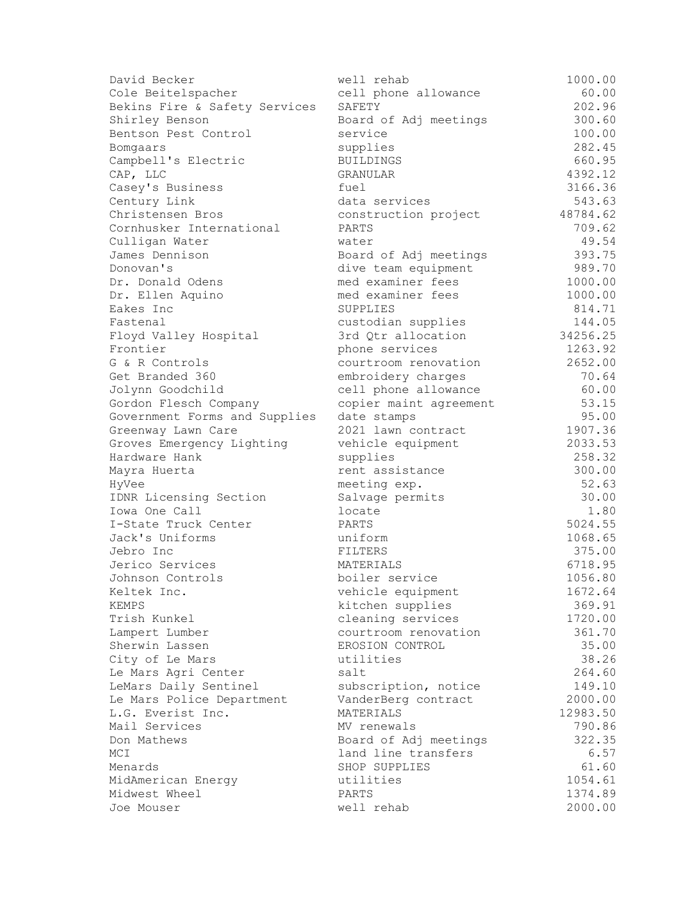| David Becker                  | well rehab             | 1000.00  |
|-------------------------------|------------------------|----------|
| Cole Beitelspacher            | cell phone allowance   | 60.00    |
| Bekins Fire & Safety Services | SAFETY                 | 202.96   |
| Shirley Benson                | Board of Adj meetings  | 300.60   |
| Bentson Pest Control          | service                | 100.00   |
| Bomgaars                      | supplies               | 282.45   |
| Campbell's Electric           | <b>BUILDINGS</b>       | 660.95   |
| CAP, LLC                      | GRANULAR               | 4392.12  |
| Casey's Business              | fuel                   | 3166.36  |
| Century Link                  | data services          | 543.63   |
| Christensen Bros              | construction project   | 48784.62 |
| Cornhusker International      | PARTS                  | 709.62   |
| Culligan Water                | water                  | 49.54    |
| James Dennison                | Board of Adj meetings  | 393.75   |
| Donovan's                     | dive team equipment    | 989.70   |
| Dr. Donald Odens              | med examiner fees      | 1000.00  |
| Dr. Ellen Aquino              | med examiner fees      | 1000.00  |
| Eakes Inc                     | SUPPLIES               | 814.71   |
| Fastenal                      | custodian supplies     | 144.05   |
| Floyd Valley Hospital         | 3rd Qtr allocation     | 34256.25 |
| Frontier                      | phone services         | 1263.92  |
| G & R Controls                | courtroom renovation   | 2652.00  |
| Get Branded 360               | embroidery charges     | 70.64    |
| Jolynn Goodchild              | cell phone allowance   | 60.00    |
| Gordon Flesch Company         | copier maint agreement | 53.15    |
| Government Forms and Supplies | date stamps            | 95.00    |
| Greenway Lawn Care            | 2021 lawn contract     | 1907.36  |
| Groves Emergency Lighting     | vehicle equipment      | 2033.53  |
| Hardware Hank                 | supplies               | 258.32   |
| Mayra Huerta                  | rent assistance        | 300.00   |
| HyVee                         | meeting exp.           | 52.63    |
| IDNR Licensing Section        | Salvage permits        | 30.00    |
| Iowa One Call                 | locate                 | 1.80     |
| I-State Truck Center          | PARTS                  | 5024.55  |
| Jack's Uniforms               | uniform                | 1068.65  |
| Jebro Inc                     | FILTERS                | 375.00   |
| Jerico Services               | MATERIALS              | 6718.95  |
| Johnson Controls              | boiler service         | 1056.80  |
| Keltek Inc.                   | vehicle equipment      | 1672.64  |
| KEMPS                         | kitchen supplies       | 369.91   |
| Trish Kunkel                  | cleaning services      | 1720.00  |
| Lampert Lumber                | courtroom renovation   | 361.70   |
| Sherwin Lassen                | EROSION CONTROL        | 35.00    |
| City of Le Mars               | utilities              | 38.26    |
| Le Mars Agri Center           | salt                   | 264.60   |
| LeMars Daily Sentinel         | subscription, notice   | 149.10   |
| Le Mars Police Department     | VanderBerg contract    | 2000.00  |
| L.G. Everist Inc.             | MATERIALS              | 12983.50 |
| Mail Services                 | MV renewals            | 790.86   |
| Don Mathews                   | Board of Adj meetings  | 322.35   |
| MCI                           | land line transfers    | 6.57     |
| Menards                       | SHOP SUPPLIES          | 61.60    |
| MidAmerican Energy            | utilities              | 1054.61  |
| Midwest Wheel                 | PARTS                  | 1374.89  |
| Joe Mouser                    | well rehab             | 2000.00  |